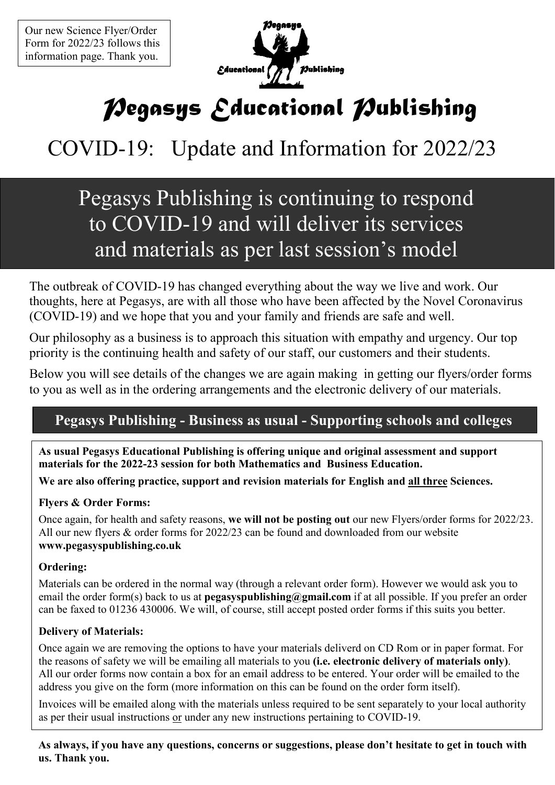

# *Pegasys Educational Publishing*

## COVID-19: Update and Information for 2022/23

### Pegasys Publishing is continuing to respond to COVID-19 and will deliver its services and materials as per last session's model

The outbreak of COVID-19 has changed everything about the way we live and work. Our thoughts, here at Pegasys, are with all those who have been affected by the Novel Coronavirus (COVID-19) and we hope that you and your family and friends are safe and well.

Our philosophy as a business is to approach this situation with empathy and urgency. Our top priority is the continuing health and safety of our staff, our customers and their students.

Below you will see details of the changes we are again making in getting our flyers/order forms to you as well as in the ordering arrangements and the electronic delivery of our materials.

#### **Pegasys Publishing - Business as usual - Supporting schools and colleges**

**As usual Pegasys Educational Publishing is offering unique and original assessment and support materials for the 2022-23 session for both Mathematics and Business Education.** 

**We are also offering practice, support and revision materials for English and all three Sciences.** 

#### **Flyers & Order Forms:**

Once again, for health and safety reasons, **we will not be posting out** our new Flyers/order forms for 2022/23. All our new flyers & order forms for 2022/23 can be found and downloaded from our website **www.pegasyspublishing.co.uk** 

#### **Ordering:**

Materials can be ordered in the normal way (through a relevant order form). However we would ask you to email the order form(s) back to us at **pegasyspublishing@gmail.com** if at all possible. If you prefer an order can be faxed to 01236 430006. We will, of course, still accept posted order forms if this suits you better.

#### **Delivery of Materials:**

Once again we are removing the options to have your materials deliverd on CD Rom or in paper format. For the reasons of safety we will be emailing all materials to you **(i.e. electronic delivery of materials only)**. All our order forms now contain a box for an email address to be entered. Your order will be emailed to the address you give on the form (more information on this can be found on the order form itself).

Invoices will be emailed along with the materials unless required to be sent separately to your local authority as per their usual instructions or under any new instructions pertaining to COVID-19.

**As always, if you have any questions, concerns or suggestions, please don't hesitate to get in touch with us. Thank you.**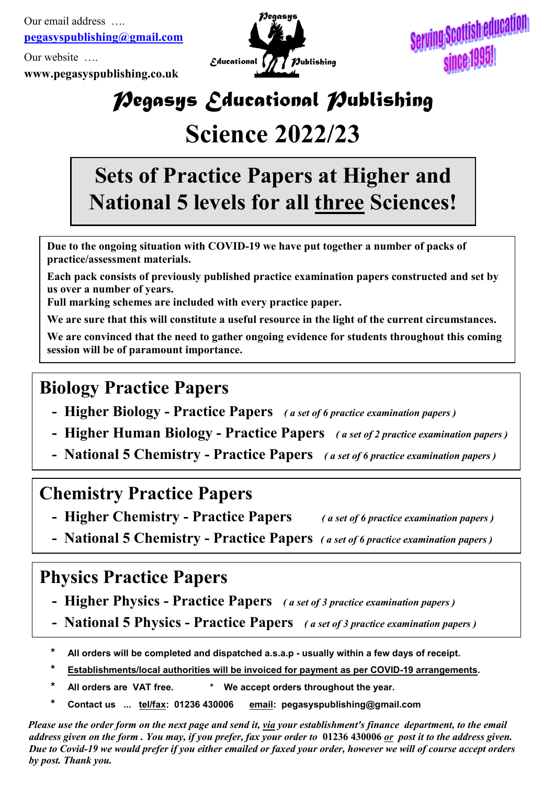Our email address …. **pegasyspublishing@gmail.com**

Our website ….

**www.pegasyspublishing.co.uk**



Serving Scottish education since 1995!

## *Pegasys Educational Publishing*

## **Science 2022/23**

## **Sets of Practice Papers at Higher and 4ational 5 levels for all three Sciences!**

**Due to the ongoing situation with COVID-19 we have put together a number of packs of practice/assessment materials.** 

**Each pack consists of previously published practice examination papers constructed and set by us over a number of years.** 

**Full marking schemes are included with every practice paper.** 

**We are sure that this will constitute a useful resource in the light of the current circumstances.** 

**We are convinced that the need to gather ongoing evidence for students throughout this coming session will be of paramount importance.** 

### **Biology Practice Papers**

- **Higher Biology Practice Papers** *( a set of 6 practice examination papers )*
- **Higher Human Biology Practice Papers** *( a set of 2 practice examination papers )*
- **4ational 5 Chemistry Practice Papers** *( a set of 6 practice examination papers )*

#### **Chemistry Practice Papers**

- **Higher Chemistry Practice Papers** *( a set of 6 practice examination papers )*
	-
- **4ational 5 Chemistry Practice Papers** *( a set of 6 practice examination papers )*

### **Physics Practice Papers**

- **Higher Physics Practice Papers** *( a set of 3 practice examination papers )*
- **4ational 5 Physics Practice Papers** *( a set of 3 practice examination papers )*
- **\* All orders will be completed and dispatched a.s.a.p usually within a few days of receipt.**
- **\* Establishments/local authorities will be invoiced for payment as per COVID-19 arrangements.**
- **\* All orders are VAT free. \* We accept orders throughout the year.**
- **<u>email:</u> pegasyspublishing@gmail.com** Contact us ... tel/fax: 01236 430006

*Please use the order form on the next page and send it, <i>yia your establishment's finance department, to the email address given on the form . You may, if you prefer, fax your order to* **01236 430006** *or post it to the address given. Due to Covid-19 we would prefer if you either emailed or faxed your order, however we will of course accept orders by post. Thank you.*